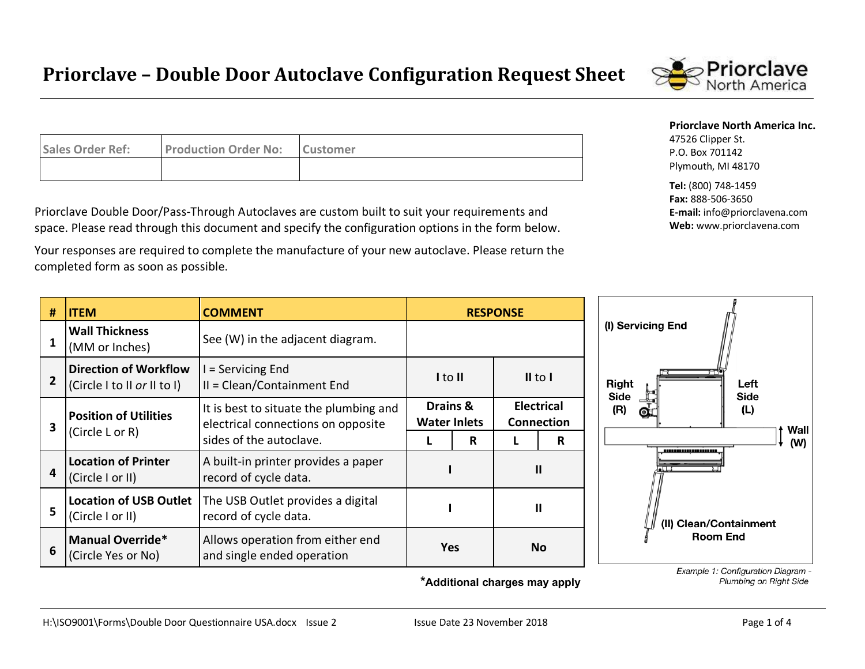**Sales Order Ref: Production Order No: Customer**

completed form as soon as possible.

**Wall Thickness** 

Priorclave Double Door/Pass-Through Autoclaves are custom built to suit your requirements and space. Please read through this document and specify the configuration options in the form below.

**# ITEM COMMENT RESPONSE**

 $\mathsf{C}_{\mathsf{Q}\mathsf{Q}}$  (W) in the adjacent diagram

Your responses are required to complete the manufacture of your new autoclave. Please return the

## **Priorclave North America Inc.**

47526 Clipper St. P.O. Box 701142 Plymouth, MI 48170

**Tel:** (800) 748-1459 **Fax:** 888-506-3650 **E-mail:** info@priorclavena.com **Web:** www.priorclavena.com



Example 1: Configuration Diagram -Plumbing on Right Side

**\*Additional charges may apply**

| 1 | (MM or Inches)                                              | See (W) in the adjacent diagram.                                                                        |                                            |   |                                 |    |
|---|-------------------------------------------------------------|---------------------------------------------------------------------------------------------------------|--------------------------------------------|---|---------------------------------|----|
| 2 | <b>Direction of Workflow</b><br>(Circle I to II or II to I) | $I =$ Servicing End<br>II = Clean/Containment End                                                       | I to II                                    |   | II to I                         |    |
| 3 | <b>Position of Utilities</b><br>(Circle L or R)             | It is best to situate the plumbing and<br>electrical connections on opposite<br>sides of the autoclave. | <b>Drains &amp;</b><br><b>Water Inlets</b> |   | <b>Electrical</b><br>Connection |    |
|   |                                                             |                                                                                                         | L                                          | R |                                 | R. |
| 4 | <b>Location of Printer</b><br>(Circle I or II)              | A built-in printer provides a paper<br>record of cycle data.                                            |                                            |   | Ш                               |    |
| 5 | <b>Location of USB Outlet</b><br>(Circle I or II)           | The USB Outlet provides a digital<br>record of cycle data.                                              |                                            |   | Ш                               |    |
| 6 | <b>Manual Override*</b><br>(Circle Yes or No)               | Allows operation from either end<br>and single ended operation                                          | <b>Yes</b>                                 |   | <b>No</b>                       |    |
|   |                                                             |                                                                                                         |                                            |   |                                 |    |

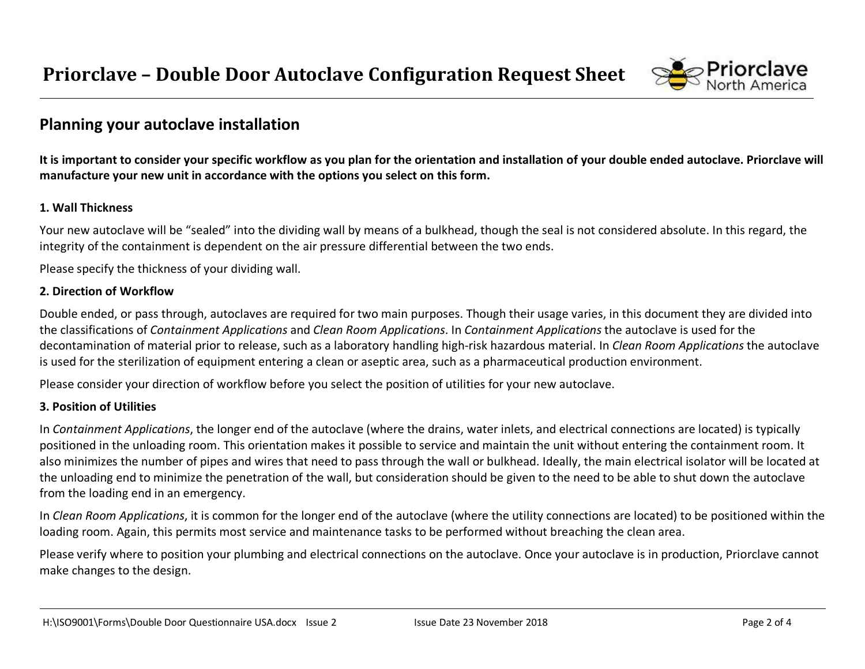

# **Planning your autoclave installation**

**It is important to consider your specific workflow as you plan for the orientation and installation of your double ended autoclave. Priorclave will manufacture your new unit in accordance with the options you select on this form.** 

## **1. Wall Thickness**

Your new autoclave will be "sealed" into the dividing wall by means of a bulkhead, though the seal is not considered absolute. In this regard, the integrity of the containment is dependent on the air pressure differential between the two ends.

Please specify the thickness of your dividing wall.

#### **2. Direction of Workflow**

Double ended, or pass through, autoclaves are required for two main purposes. Though their usage varies, in this document they are divided into the classifications of *Containment Applications* and *Clean Room Applications*. In *Containment Applications* the autoclave is used for the decontamination of material prior to release, such as a laboratory handling high-risk hazardous material. In *Clean Room Applications* the autoclave is used for the sterilization of equipment entering a clean or aseptic area, such as a pharmaceutical production environment.

Please consider your direction of workflow before you select the position of utilities for your new autoclave.

## **3. Position of Utilities**

In *Containment Applications*, the longer end of the autoclave (where the drains, water inlets, and electrical connections are located) is typically positioned in the unloading room. This orientation makes it possible to service and maintain the unit without entering the containment room. It also minimizes the number of pipes and wires that need to pass through the wall or bulkhead. Ideally, the main electrical isolator will be located at the unloading end to minimize the penetration of the wall, but consideration should be given to the need to be able to shut down the autoclave from the loading end in an emergency.

In *Clean Room Applications*, it is common for the longer end of the autoclave (where the utility connections are located) to be positioned within the loading room. Again, this permits most service and maintenance tasks to be performed without breaching the clean area.

Please verify where to position your plumbing and electrical connections on the autoclave. Once your autoclave is in production, Priorclave cannot make changes to the design.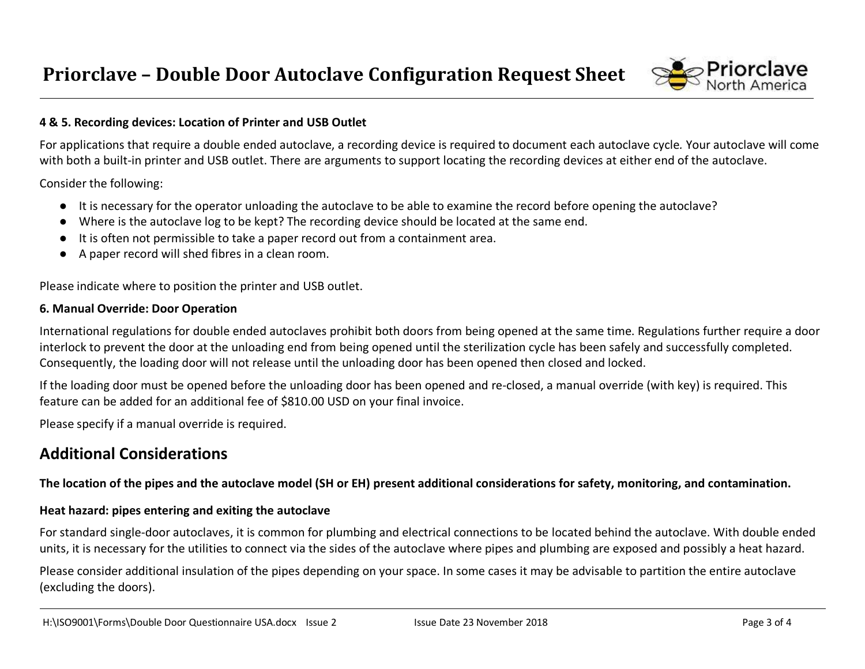

## **4 & 5. Recording devices: Location of Printer and USB Outlet**

For applications that require a double ended autoclave, a recording device is required to document each autoclave cycle*.* Your autoclave will come with both a built-in printer and USB outlet. There are arguments to support locating the recording devices at either end of the autoclave.

Consider the following:

- It is necessary for the operator unloading the autoclave to be able to examine the record before opening the autoclave?
- Where is the autoclave log to be kept? The recording device should be located at the same end.
- It is often not permissible to take a paper record out from a containment area.
- A paper record will shed fibres in a clean room.

Please indicate where to position the printer and USB outlet.

## **6. Manual Override: Door Operation**

International regulations for double ended autoclaves prohibit both doors from being opened at the same time. Regulations further require a door interlock to prevent the door at the unloading end from being opened until the sterilization cycle has been safely and successfully completed. Consequently, the loading door will not release until the unloading door has been opened then closed and locked.

If the loading door must be opened before the unloading door has been opened and re-closed, a manual override (with key) is required. This feature can be added for an additional fee of \$810.00 USD on your final invoice.

Please specify if a manual override is required.

# **Additional Considerations**

**The location of the pipes and the autoclave model (SH or EH) present additional considerations for safety, monitoring, and contamination.**

## **Heat hazard: pipes entering and exiting the autoclave**

For standard single-door autoclaves, it is common for plumbing and electrical connections to be located behind the autoclave. With double ended units, it is necessary for the utilities to connect via the sides of the autoclave where pipes and plumbing are exposed and possibly a heat hazard.

Please consider additional insulation of the pipes depending on your space. In some cases it may be advisable to partition the entire autoclave (excluding the doors).